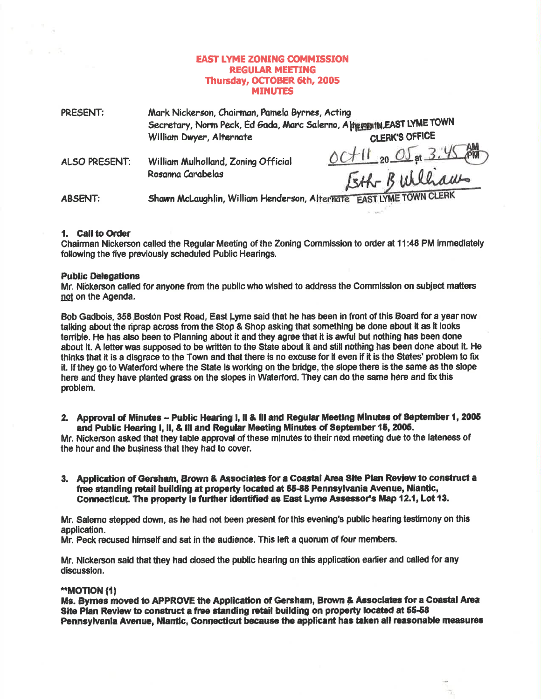# **EAST LYME ZONING COMMISSION REGULAR MEETING** Thursday, OCTOBER 6th, 2005 **MINUTES**

| PRESENT:       | Mark Nickerson, Chairman, Pamela Byrnes, Acting<br>Secretary, Norm Peck, Ed Gada, Marc Salerno, Appenmin, EAST LYME TOWN |                                              |
|----------------|--------------------------------------------------------------------------------------------------------------------------|----------------------------------------------|
|                | William Dwyer, Alternate                                                                                                 | <b>CLERK'S OFFICE</b>                        |
| ALSO PRESENT:  | William Mulholland, Zoning Official<br>Rosanna Carabelas                                                                 | $OCH11_{20}O5$ at $3.45$ PM<br>Eth Builliams |
| <b>ABSENT:</b> | Shawn McLaughlin, William Henderson, Alternate EAST LYME TOWN CLERK                                                      |                                              |

### 1. Call to Order

 $-7$ 

Chairman Nickerson called the Regular Meeting of the Zoning Commission to order at 11:48 PM immediately following the five previously scheduled Public Hearings.

 $\mu_{\rm{max}}\approx$ 

b.

## **Public Delegations**

Mr. Nickerson called for anyone from the public who wished to address the Commission on subject matters not on the Agenda.

Bob Gadbois, 358 Boston Post Road, East Lyme said that he has been in front of this Board for a year now talking about the riprap across from the Stop & Shop asking that something be done about it as it looks terrible. He has also been to Planning about it and they agree that it is awful but nothing has been done about it. A letter was supposed to be written to the State about it and still nothing has been done about it. He thinks that it is a disgrace to the Town and that there is no excuse for it even if it is the States' problem to fix it. If they go to Waterford where the State is working on the bridge, the slope there is the same as the slope here and they have planted grass on the slopes in Waterford. They can do the same here and fix this problem.

2. Approval of Minutes - Public Hearing I, II & III and Regular Meeting Minutes of September 1, 2005 and Public Hearing I, II, & III and Regular Meeting Minutes of September 15, 2005.

Mr. Nickerson asked that they table approval of these minutes to their next meeting due to the lateness of the hour and the business that they had to cover.

3. Application of Gersham, Brown & Associates for a Coastal Area Site Plan Review to construct a free standing retail building at property located at 55-88 Pennsylvania Avenue, Niantic, Connecticut. The property is further identified as East Lyme Assessor's Map 12.1, Lot 13.

Mr. Salerno stepped down, as he had not been present for this evening's public hearing testimony on this application.

Mr. Peck recused himself and sat in the audience. This left a quorum of four members.

Mr. Nickerson said that they had closed the public hearing on this application earlier and called for any discussion.

#### "MOTION (1)

Ms. Byrnes moved to APPROVE the Application of Gersham, Brown & Associates for a Coastal Area Site Plan Review to construct a free standing retail building on property located at 55-58 Pennsylvania Avenue, Niantic, Connecticut because the applicant has taken all reasonable measures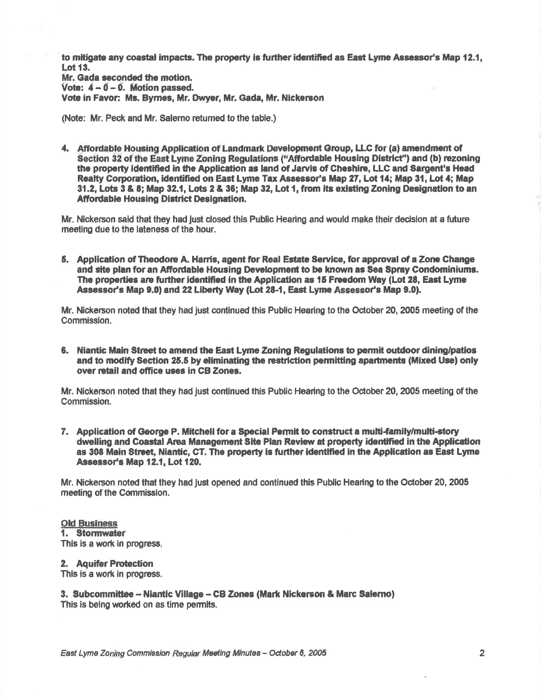to mitigate any coastal impacts. The property is further identified as East Lyme Assessor's Map 12.1. **Lot 13.** 

Mr. Gada seconded the motion. Vote:  $4 - 0 - 0$ . Motion passed. Vote in Favor: Ms. Byrnes, Mr. Dwyer, Mr. Gada, Mr. Nickerson

(Note: Mr. Peck and Mr. Salerno returned to the table.)

4. Affordable Housing Application of Landmark Development Group, LLC for (a) amendment of Section 32 of the East Lyme Zoning Regulations ("Affordable Housing District") and (b) rezoning the property identified in the Application as land of Jarvis of Cheshire, LLC and Sargent's Head Realty Corporation, identified on East Lyme Tax Assessor's Map 27, Lot 14; Map 31, Lot 4; Map 31.2. Lots 3 & 8; Map 32.1. Lots 2 & 36; Map 32. Lot 1, from its existing Zoning Designation to an **Affordable Housing District Designation.** 

Mr. Nickerson said that they had lust closed this Public Hearing and would make their decision at a future meeting due to the lateness of the hour.

5. Application of Theodore A. Harris, agent for Real Estate Service, for approval of a Zone Change and site plan for an Affordable Housing Development to be known as Sea Spray Condominiums. The properties are further identified in the Application as 15 Freedom Way (Lot 28, East Lyme Assessor's Map 9.0) and 22 Liberty Way (Lot 28-1, East Lyme Assessor's Map 9.0).

Mr. Nickerson noted that they had just continued this Public Hearing to the October 20, 2005 meeting of the Commission.

6. Niantic Main Street to amend the East Lyme Zoning Regulations to permit outdoor dining/patios and to modify Section 25.5 by eliminating the restriction permitting apartments (Mixed Use) only over retail and office uses in CB Zones.

Mr. Nickerson noted that they had just continued this Public Hearing to the October 20, 2005 meeting of the Commission.

7. Application of George P. Mitchell for a Special Permit to construct a multi-family/multi-story dwelling and Coastal Area Management Site Plan Review at property identified in the Application as 308 Main Street, Niantic, CT. The property is further identified in the Application as East Lyme Assessor's Map 12.1, Lot 120.

Mr. Nickerson noted that they had just opened and continued this Public Hearing to the October 20, 2005 meeting of the Commission.

### **Old Business** 1. Stormwater This is a work in progress.

2. Aquifer Protection This is a work in progress.

3. Subcommittee - Niantic Village - CB Zones (Mark Nickerson & Marc Salemo) This is being worked on as time permits.